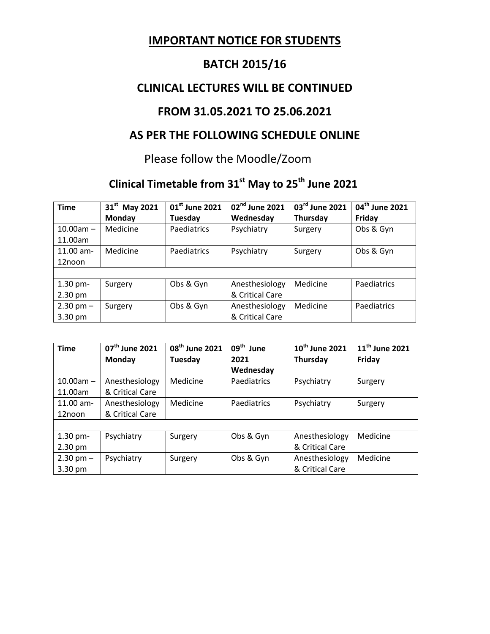# **IMPORTANT NOTICE FOR STUDENTS**

# **BATCH 2015/16**

#### **CLINICAL LECTURES WILL BE CONTINUED**

### **FROM 31.05.2021 TO 25.06.2021**

## **AS PER THE FOLLOWING SCHEDULE ONLINE**

#### Please follow the Moodle/Zoom

# **Clinical Timetable from 31st May to 25th June 2021**

| <b>Time</b>       | 31 <sup>st</sup> May 2021 | 01 <sup>st</sup> June 2021 | 02 <sup>nd</sup> June 2021 | 03rd June 2021 | 04 <sup>th</sup> June 2021 |
|-------------------|---------------------------|----------------------------|----------------------------|----------------|----------------------------|
|                   | <b>Monday</b>             | Tuesday                    | Wednesday                  | Thursday       | Friday                     |
| $10.00am -$       | Medicine                  | <b>Paediatrics</b>         | Psychiatry                 | Surgery        | Obs & Gyn                  |
| 11.00am           |                           |                            |                            |                |                            |
| $11.00$ am-       | Medicine                  | <b>Paediatrics</b>         | Psychiatry                 | Surgery        | Obs & Gyn                  |
| 12noon            |                           |                            |                            |                |                            |
|                   |                           |                            |                            |                |                            |
| $1.30$ pm-        | Surgery                   | Obs & Gyn                  | Anesthesiology             | Medicine       | Paediatrics                |
| $2.30 \text{ pm}$ |                           |                            | & Critical Care            |                |                            |
| $2.30$ pm $-$     | Surgery                   | Obs & Gyn                  | Anesthesiology             | Medicine       | Paediatrics                |
| 3.30 pm           |                           |                            | & Critical Care            |                |                            |

| <b>Time</b>   | $07th$ June 2021 | 08 <sup>th</sup> June 2021 | $09th$ June | 10 <sup>th</sup> June 2021 | 11 <sup>th</sup> June 2021 |
|---------------|------------------|----------------------------|-------------|----------------------------|----------------------------|
|               | <b>Monday</b>    | Tuesday                    | 2021        | Thursday                   | Friday                     |
|               |                  |                            | Wednesday   |                            |                            |
| $10.00am -$   | Anesthesiology   | Medicine                   | Paediatrics | Psychiatry                 | Surgery                    |
| 11.00am       | & Critical Care  |                            |             |                            |                            |
| $11.00$ am-   | Anesthesiology   | Medicine                   | Paediatrics | Psychiatry                 | Surgery                    |
| 12noon        | & Critical Care  |                            |             |                            |                            |
|               |                  |                            |             |                            |                            |
| $1.30$ pm-    | Psychiatry       | Surgery                    | Obs & Gyn   | Anesthesiology             | Medicine                   |
| 2.30 pm       |                  |                            |             | & Critical Care            |                            |
| $2.30$ pm $-$ | Psychiatry       | Surgery                    | Obs & Gyn   | Anesthesiology             | Medicine                   |
| 3.30 pm       |                  |                            |             | & Critical Care            |                            |